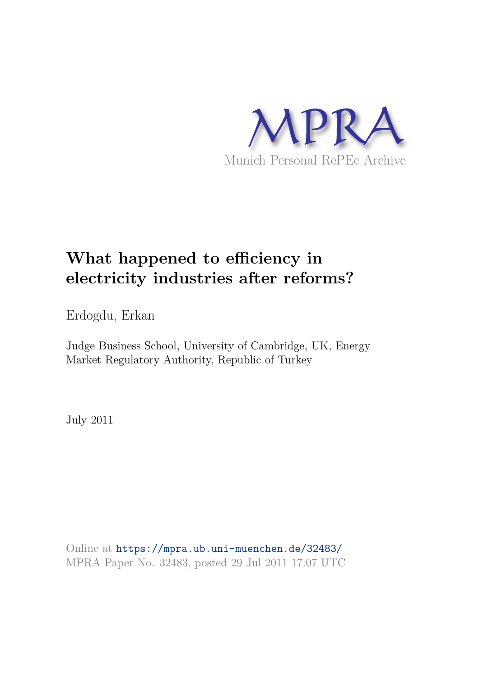

# **What happened to efficiency in electricity industries after reforms?**

Erdogdu, Erkan

Judge Business School, University of Cambridge, UK, Energy Market Regulatory Authority, Republic of Turkey

July 2011

Online at https://mpra.ub.uni-muenchen.de/32483/ MPRA Paper No. 32483, posted 29 Jul 2011 17:07 UTC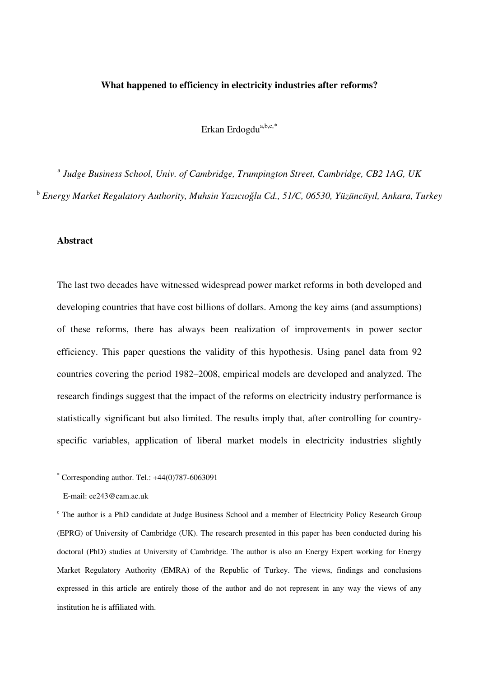#### **What happened to efficiency in electricity industries after reforms?**

Erkan Erdogdu<sup>a,b,c,\*</sup>

<sup>a</sup> Judge Business School, Univ. of Cambridge, Trumpington Street, Cambridge, CB2 1AG, UK b  *Energy Market Regulatory Authority, Muhsin Yazıcıoğlu Cd., 51/C, 06530, Yüzüncüyıl, Ankara, Turkey*

#### **Abstract**

The last two decades have witnessed widespread power market reforms in both developed and developing countries that have cost billions of dollars. Among the key aims (and assumptions) of these reforms, there has always been realization of improvements in power sector efficiency. This paper questions the validity of this hypothesis. Using panel data from 92 countries covering the period 1982–2008, empirical models are developed and analyzed. The research findings suggest that the impact of the reforms on electricity industry performance is statistically significant but also limited. The results imply that, after controlling for countryspecific variables, application of liberal market models in electricity industries slightly

-

<span id="page-1-0"></span> $*$  Corresponding author. Tel.:  $+44(0)787-6063091$ 

E-mail: ee243@cam.ac.uk

<span id="page-1-1"></span><sup>c</sup> The author is a PhD candidate at Judge Business School and a member of Electricity Policy Research Group (EPRG) of University of Cambridge (UK). The research presented in this paper has been conducted during his doctoral (PhD) studies at University of Cambridge. The author is also an Energy Expert working for Energy Market Regulatory Authority (EMRA) of the Republic of Turkey. The views, findings and conclusions expressed in this article are entirely those of the author and do not represent in any way the views of any institution he is affiliated with.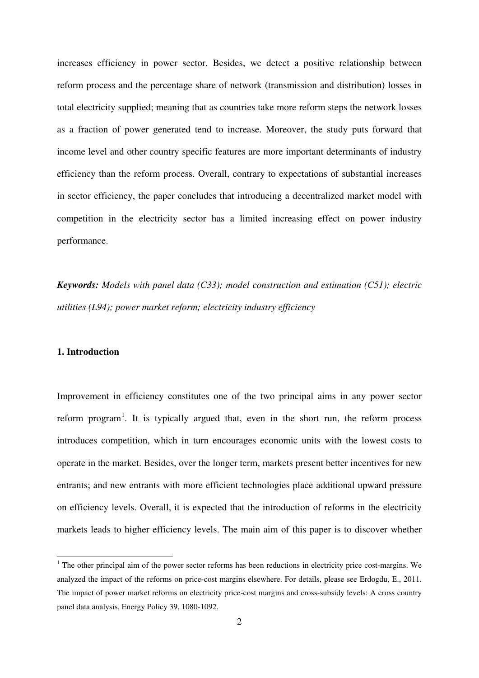increases efficiency in power sector. Besides, we detect a positive relationship between reform process and the percentage share of network (transmission and distribution) losses in total electricity supplied; meaning that as countries take more reform steps the network losses as a fraction of power generated tend to increase. Moreover, the study puts forward that income level and other country specific features are more important determinants of industry efficiency than the reform process. Overall, contrary to expectations of substantial increases in sector efficiency, the paper concludes that introducing a decentralized market model with competition in the electricity sector has a limited increasing effect on power industry performance.

*Keywords: Models with panel data (C33); model construction and estimation (C51); electric utilities (L94); power market reform; electricity industry efficiency*

#### **1. Introduction**

-

Improvement in efficiency constitutes one of the two principal aims in any power sector reform program<sup>[1](#page-1-1)</sup>. It is typically argued that, even in the short run, the reform process introduces competition, which in turn encourages economic units with the lowest costs to operate in the market. Besides, over the longer term, markets present better incentives for new entrants; and new entrants with more efficient technologies place additional upward pressure on efficiency levels. Overall, it is expected that the introduction of reforms in the electricity markets leads to higher efficiency levels. The main aim of this paper is to discover whether

<span id="page-2-0"></span> $1$  The other principal aim of the power sector reforms has been reductions in electricity price cost-margins. We analyzed the impact of the reforms on price-cost margins elsewhere. For details, please see Erdogdu, E., 2011. The impact of power market reforms on electricity price-cost margins and cross-subsidy levels: A cross country panel data analysis. Energy Policy 39, 1080-1092.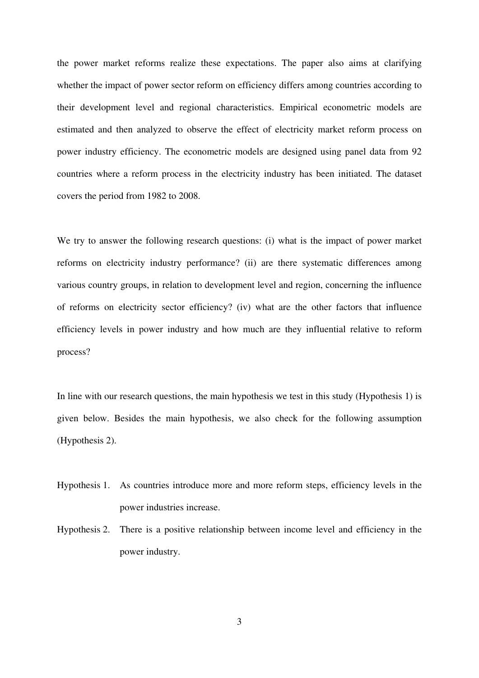the power market reforms realize these expectations. The paper also aims at clarifying whether the impact of power sector reform on efficiency differs among countries according to their development level and regional characteristics. Empirical econometric models are estimated and then analyzed to observe the effect of electricity market reform process on power industry efficiency. The econometric models are designed using panel data from 92 countries where a reform process in the electricity industry has been initiated. The dataset covers the period from 1982 to 2008.

We try to answer the following research questions: (i) what is the impact of power market reforms on electricity industry performance? (ii) are there systematic differences among various country groups, in relation to development level and region, concerning the influence of reforms on electricity sector efficiency? (iv) what are the other factors that influence efficiency levels in power industry and how much are they influential relative to reform process?

In line with our research questions, the main hypothesis we test in this study (Hypothesis 1) is given below. Besides the main hypothesis, we also check for the following assumption (Hypothesis 2).

- Hypothesis 1. As countries introduce more and more reform steps, efficiency levels in the power industries increase.
- Hypothesis 2. There is a positive relationship between income level and efficiency in the power industry.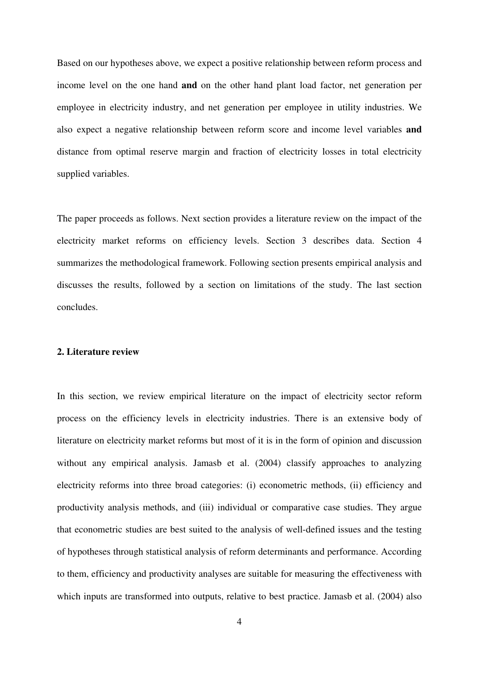Based on our hypotheses above, we expect a positive relationship between reform process and income level on the one hand **and** on the other hand plant load factor, net generation per employee in electricity industry, and net generation per employee in utility industries. We also expect a negative relationship between reform score and income level variables **and** distance from optimal reserve margin and fraction of electricity losses in total electricity supplied variables.

The paper proceeds as follows. Next section provides a literature review on the impact of the electricity market reforms on efficiency levels. Section 3 describes data. Section 4 summarizes the methodological framework. Following section presents empirical analysis and discusses the results, followed by a section on limitations of the study. The last section concludes.

#### **2. Literature review**

In this section, we review empirical literature on the impact of electricity sector reform process on the efficiency levels in electricity industries. There is an extensive body of literature on electricity market reforms but most of it is in the form of opinion and discussion without any empirical analysis. Jamasb et al. (2004) classify approaches to analyzing electricity reforms into three broad categories: (i) econometric methods, (ii) efficiency and productivity analysis methods, and (iii) individual or comparative case studies. They argue that econometric studies are best suited to the analysis of well-defined issues and the testing of hypotheses through statistical analysis of reform determinants and performance. According to them, efficiency and productivity analyses are suitable for measuring the effectiveness with which inputs are transformed into outputs, relative to best practice. Jamasb et al. (2004) also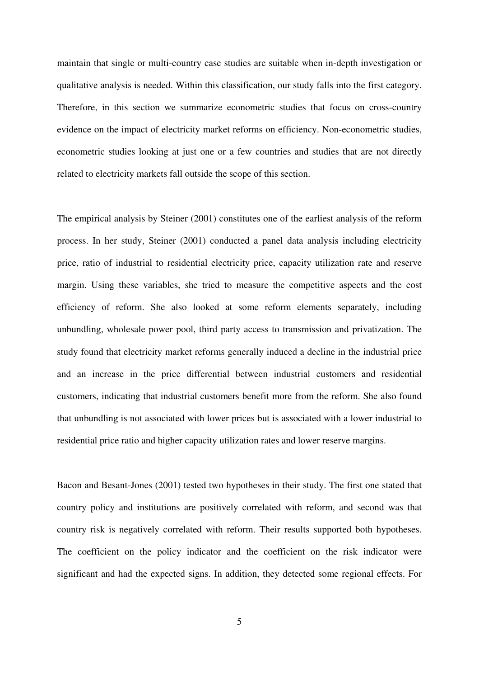maintain that single or multi-country case studies are suitable when in-depth investigation or qualitative analysis is needed. Within this classification, our study falls into the first category. Therefore, in this section we summarize econometric studies that focus on cross-country evidence on the impact of electricity market reforms on efficiency. Non-econometric studies, econometric studies looking at just one or a few countries and studies that are not directly related to electricity markets fall outside the scope of this section.

The empirical analysis by Steiner (2001) constitutes one of the earliest analysis of the reform process. In her study, Steiner (2001) conducted a panel data analysis including electricity price, ratio of industrial to residential electricity price, capacity utilization rate and reserve margin. Using these variables, she tried to measure the competitive aspects and the cost efficiency of reform. She also looked at some reform elements separately, including unbundling, wholesale power pool, third party access to transmission and privatization. The study found that electricity market reforms generally induced a decline in the industrial price and an increase in the price differential between industrial customers and residential customers, indicating that industrial customers benefit more from the reform. She also found that unbundling is not associated with lower prices but is associated with a lower industrial to residential price ratio and higher capacity utilization rates and lower reserve margins.

Bacon and Besant-Jones (2001) tested two hypotheses in their study. The first one stated that country policy and institutions are positively correlated with reform, and second was that country risk is negatively correlated with reform. Their results supported both hypotheses. The coefficient on the policy indicator and the coefficient on the risk indicator were significant and had the expected signs. In addition, they detected some regional effects. For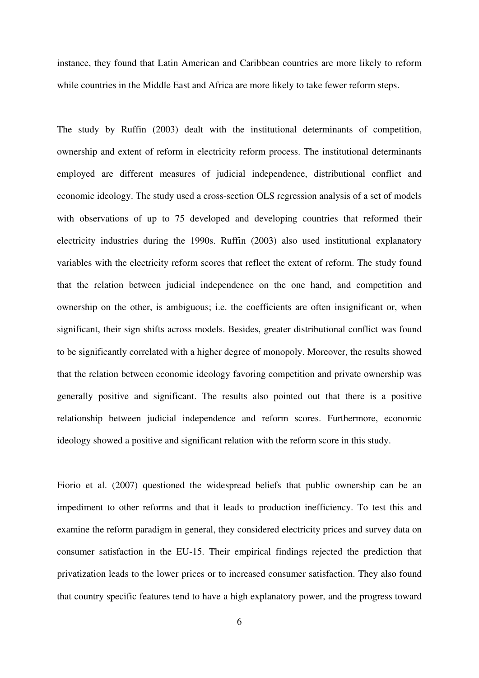instance, they found that Latin American and Caribbean countries are more likely to reform while countries in the Middle East and Africa are more likely to take fewer reform steps.

The study by Ruffin (2003) dealt with the institutional determinants of competition, ownership and extent of reform in electricity reform process. The institutional determinants employed are different measures of judicial independence, distributional conflict and economic ideology. The study used a cross-section OLS regression analysis of a set of models with observations of up to 75 developed and developing countries that reformed their electricity industries during the 1990s. Ruffin (2003) also used institutional explanatory variables with the electricity reform scores that reflect the extent of reform. The study found that the relation between judicial independence on the one hand, and competition and ownership on the other, is ambiguous; i.e. the coefficients are often insignificant or, when significant, their sign shifts across models. Besides, greater distributional conflict was found to be significantly correlated with a higher degree of monopoly. Moreover, the results showed that the relation between economic ideology favoring competition and private ownership was generally positive and significant. The results also pointed out that there is a positive relationship between judicial independence and reform scores. Furthermore, economic ideology showed a positive and significant relation with the reform score in this study.

Fiorio et al. (2007) questioned the widespread beliefs that public ownership can be an impediment to other reforms and that it leads to production inefficiency. To test this and examine the reform paradigm in general, they considered electricity prices and survey data on consumer satisfaction in the EU-15. Their empirical findings rejected the prediction that privatization leads to the lower prices or to increased consumer satisfaction. They also found that country specific features tend to have a high explanatory power, and the progress toward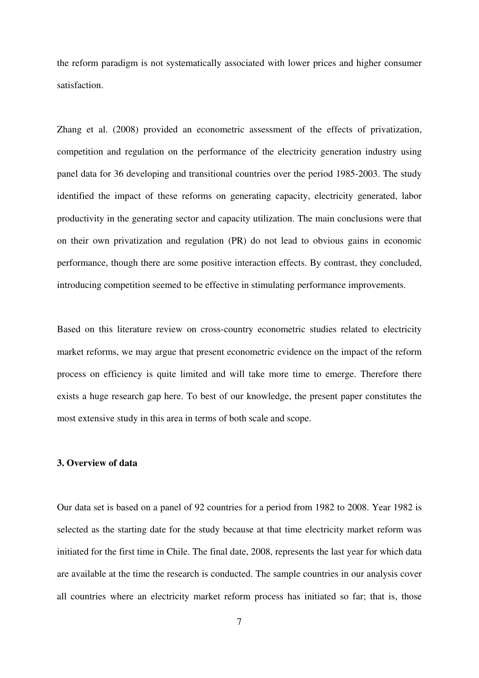the reform paradigm is not systematically associated with lower prices and higher consumer satisfaction.

Zhang et al. (2008) provided an econometric assessment of the effects of privatization, competition and regulation on the performance of the electricity generation industry using panel data for 36 developing and transitional countries over the period 1985-2003. The study identified the impact of these reforms on generating capacity, electricity generated, labor productivity in the generating sector and capacity utilization. The main conclusions were that on their own privatization and regulation (PR) do not lead to obvious gains in economic performance, though there are some positive interaction effects. By contrast, they concluded, introducing competition seemed to be effective in stimulating performance improvements.

Based on this literature review on cross-country econometric studies related to electricity market reforms, we may argue that present econometric evidence on the impact of the reform process on efficiency is quite limited and will take more time to emerge. Therefore there exists a huge research gap here. To best of our knowledge, the present paper constitutes the most extensive study in this area in terms of both scale and scope.

#### **3. Overview of data**

Our data set is based on a panel of 92 countries for a period from 1982 to 2008. Year 1982 is selected as the starting date for the study because at that time electricity market reform was initiated for the first time in Chile. The final date, 2008, represents the last year for which data are available at the time the research is conducted. The sample countries in our analysis cover all countries where an electricity market reform process has initiated so far; that is, those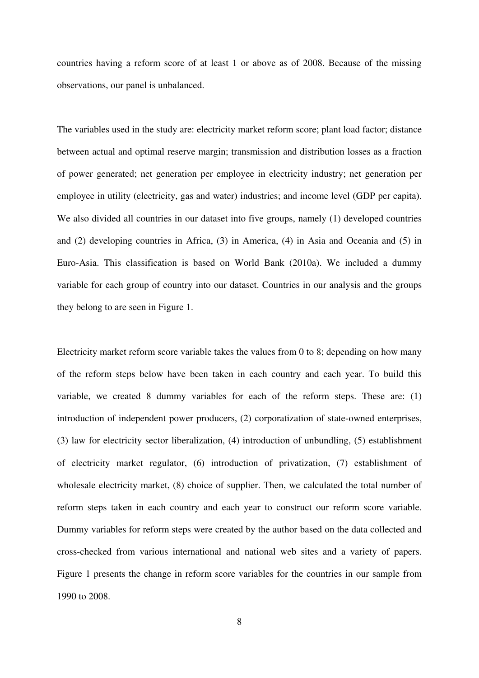countries having a reform score of at least 1 or above as of 2008. Because of the missing observations, our panel is unbalanced.

The variables used in the study are: electricity market reform score; plant load factor; distance between actual and optimal reserve margin; transmission and distribution losses as a fraction of power generated; net generation per employee in electricity industry; net generation per employee in utility (electricity, gas and water) industries; and income level (GDP per capita). We also divided all countries in our dataset into five groups, namely (1) developed countries and (2) developing countries in Africa, (3) in America, (4) in Asia and Oceania and (5) in Euro-Asia. This classification is based on World Bank (2010a). We included a dummy variable for each group of country into our dataset. Countries in our analysis and the groups they belong to are seen in Figure 1.

Electricity market reform score variable takes the values from 0 to 8; depending on how many of the reform steps below have been taken in each country and each year. To build this variable, we created 8 dummy variables for each of the reform steps. These are: (1) introduction of independent power producers, (2) corporatization of state-owned enterprises, (3) law for electricity sector liberalization, (4) introduction of unbundling, (5) establishment of electricity market regulator, (6) introduction of privatization, (7) establishment of wholesale electricity market, (8) choice of supplier. Then, we calculated the total number of reform steps taken in each country and each year to construct our reform score variable. Dummy variables for reform steps were created by the author based on the data collected and cross-checked from various international and national web sites and a variety of papers. Figure 1 presents the change in reform score variables for the countries in our sample from 1990 to 2008.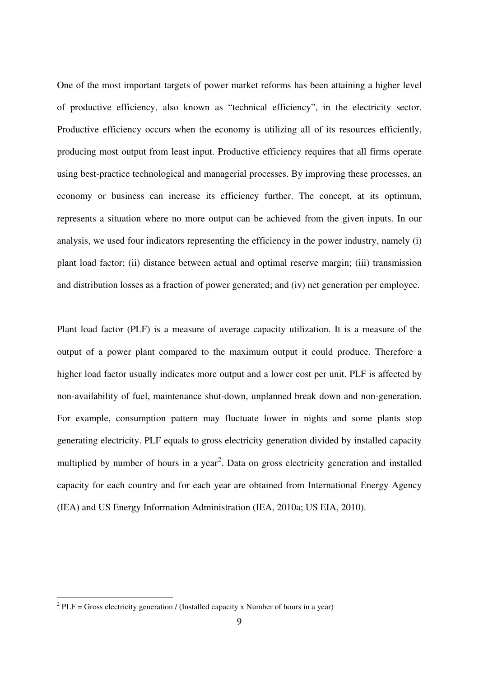One of the most important targets of power market reforms has been attaining a higher level of productive efficiency, also known as "technical efficiency", in the electricity sector. Productive efficiency occurs when the economy is utilizing all of its resources efficiently, producing most output from least input. Productive efficiency requires that all firms operate using best-practice technological and managerial processes. By improving these processes, an economy or business can increase its efficiency further. The concept, at its optimum, represents a situation where no more output can be achieved from the given inputs. In our analysis, we used four indicators representing the efficiency in the power industry, namely (i) plant load factor; (ii) distance between actual and optimal reserve margin; (iii) transmission and distribution losses as a fraction of power generated; and (iv) net generation per employee.

Plant load factor (PLF) is a measure of average capacity utilization. It is a measure of the output of a power plant compared to the maximum output it could produce. Therefore a higher load factor usually indicates more output and a lower cost per unit. PLF is affected by non-availability of fuel, maintenance shut-down, unplanned break down and non-generation. For example, consumption pattern may fluctuate lower in nights and some plants stop generating electricity. PLF equals to gross electricity generation divided by installed capacity multiplied by number of hours in a year<sup>[2](#page-2-0)</sup>. Data on gross electricity generation and installed capacity for each country and for each year are obtained from International Energy Agency (IEA) and US Energy Information Administration (IEA, 2010a; US EIA, 2010).

<span id="page-9-0"></span><sup>&</sup>lt;sup>2</sup> PLF = Gross electricity generation / (Installed capacity x Number of hours in a year)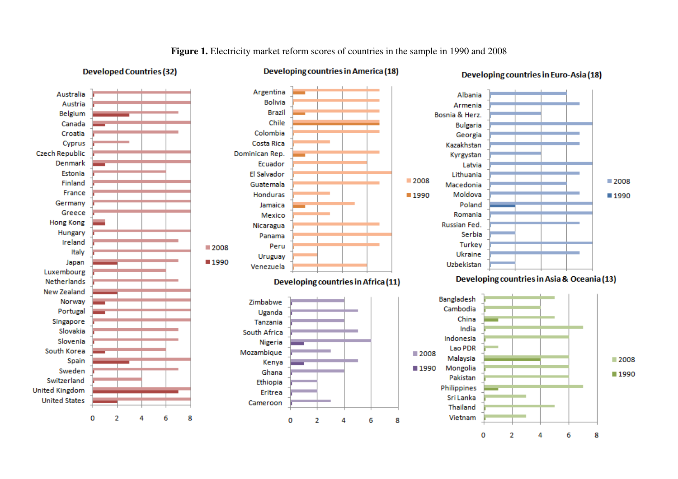

**Figure 1.** Electricity market reform scores of countries in the sample in 1990 and 2008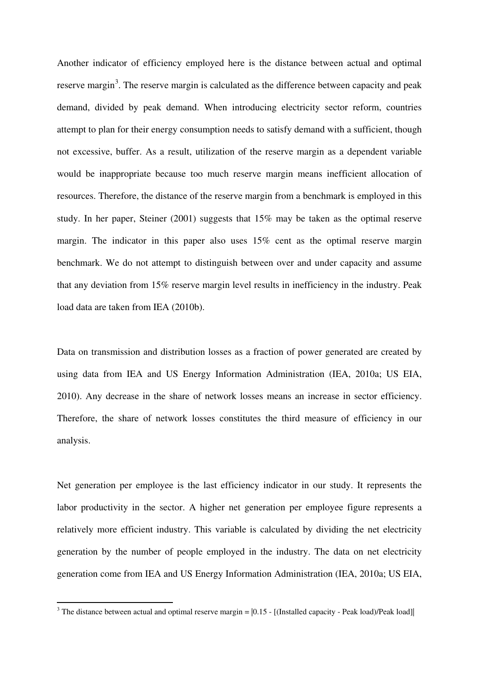Another indicator of efficiency employed here is the distance between actual and optimal reserve margin<sup>[3](#page-9-0)</sup>. The reserve margin is calculated as the difference between capacity and peak demand, divided by peak demand. When introducing electricity sector reform, countries attempt to plan for their energy consumption needs to satisfy demand with a sufficient, though not excessive, buffer. As a result, utilization of the reserve margin as a dependent variable would be inappropriate because too much reserve margin means inefficient allocation of resources. Therefore, the distance of the reserve margin from a benchmark is employed in this study. In her paper, Steiner (2001) suggests that 15% may be taken as the optimal reserve margin. The indicator in this paper also uses 15% cent as the optimal reserve margin benchmark. We do not attempt to distinguish between over and under capacity and assume that any deviation from 15% reserve margin level results in inefficiency in the industry. Peak load data are taken from IEA (2010b).

Data on transmission and distribution losses as a fraction of power generated are created by using data from IEA and US Energy Information Administration (IEA, 2010a; US EIA, 2010). Any decrease in the share of network losses means an increase in sector efficiency. Therefore, the share of network losses constitutes the third measure of efficiency in our analysis.

Net generation per employee is the last efficiency indicator in our study. It represents the labor productivity in the sector. A higher net generation per employee figure represents a relatively more efficient industry. This variable is calculated by dividing the net electricity generation by the number of people employed in the industry. The data on net electricity generation come from IEA and US Energy Information Administration (IEA, 2010a; US EIA,

<span id="page-11-0"></span>-

<sup>&</sup>lt;sup>3</sup> The distance between actual and optimal reserve margin =  $[0.15 - [(Installed capacity - Peak load)/Peak load]]$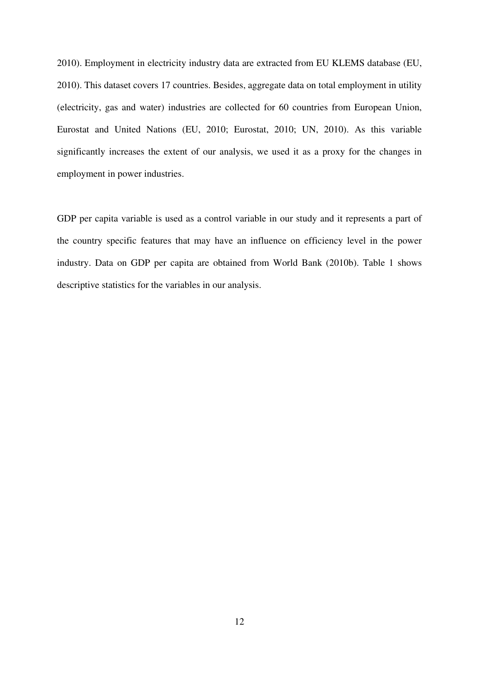2010). Employment in electricity industry data are extracted from EU KLEMS database (EU, 2010). This dataset covers 17 countries. Besides, aggregate data on total employment in utility (electricity, gas and water) industries are collected for 60 countries from European Union, Eurostat and United Nations (EU, 2010; Eurostat, 2010; UN, 2010). As this variable significantly increases the extent of our analysis, we used it as a proxy for the changes in employment in power industries.

GDP per capita variable is used as a control variable in our study and it represents a part of the country specific features that may have an influence on efficiency level in the power industry. Data on GDP per capita are obtained from World Bank (2010b). Table 1 shows descriptive statistics for the variables in our analysis.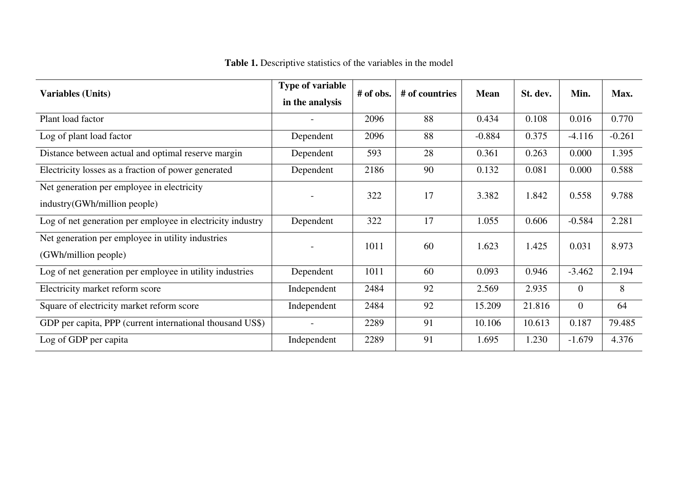| <b>Variables (Units)</b>                                   | <b>Type of variable</b><br>in the analysis | # of obs. | # of countries | <b>Mean</b> | St. dev. | Min.           | Max.     |  |
|------------------------------------------------------------|--------------------------------------------|-----------|----------------|-------------|----------|----------------|----------|--|
| Plant load factor                                          |                                            | 2096      | 88             | 0.434       | 0.108    | 0.016          | 0.770    |  |
| Log of plant load factor                                   | Dependent                                  | 2096      | 88             | $-0.884$    | 0.375    | $-4.116$       | $-0.261$ |  |
| Distance between actual and optimal reserve margin         | Dependent                                  | 593       | 28             | 0.361       | 0.263    | 0.000          | 1.395    |  |
| Electricity losses as a fraction of power generated        | Dependent                                  | 2186      | 90             | 0.132       | 0.081    | 0.000          | 0.588    |  |
| Net generation per employee in electricity                 |                                            | 322       | 17             | 3.382       | 1.842    | 0.558          | 9.788    |  |
| industry(GWh/million people)                               |                                            |           |                |             |          |                |          |  |
| Log of net generation per employee in electricity industry | Dependent                                  | 322       | 17             | 1.055       | 0.606    | $-0.584$       | 2.281    |  |
| Net generation per employee in utility industries          |                                            | 1011      | 60             | 1.623       | 1.425    | 0.031          | 8.973    |  |
| (GWh/million people)                                       |                                            |           |                |             |          |                |          |  |
| Log of net generation per employee in utility industries   | Dependent                                  | 1011      | 60             | 0.093       | 0.946    | $-3.462$       | 2.194    |  |
| Electricity market reform score                            | Independent                                | 2484      | 92             | 2.569       | 2.935    | $\overline{0}$ | 8        |  |
| Square of electricity market reform score                  | Independent                                | 2484      | 92             | 15.209      | 21.816   | $\overline{0}$ | 64       |  |
| GDP per capita, PPP (current international thousand US\$)  |                                            | 2289      | 91             | 10.106      | 10.613   | 0.187          | 79.485   |  |
| Log of GDP per capita                                      | Independent                                | 2289      | 91             | 1.695       | 1.230    | $-1.679$       | 4.376    |  |

**Table 1.** Descriptive statistics of the variables in the model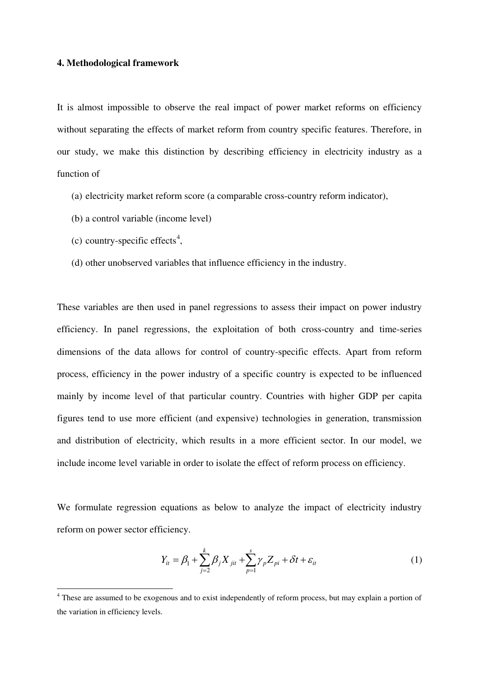#### **4. Methodological framework**

It is almost impossible to observe the real impact of power market reforms on efficiency without separating the effects of market reform from country specific features. Therefore, in our study, we make this distinction by describing efficiency in electricity industry as a function of

- (a) electricity market reform score (a comparable cross-country reform indicator),
- (b) a control variable (income level)
- $(c)$  country-specific effects<sup>[4](#page-11-0)</sup>,

<span id="page-14-0"></span>-

(d) other unobserved variables that influence efficiency in the industry.

These variables are then used in panel regressions to assess their impact on power industry efficiency. In panel regressions, the exploitation of both cross-country and time-series dimensions of the data allows for control of country-specific effects. Apart from reform process, efficiency in the power industry of a specific country is expected to be influenced mainly by income level of that particular country. Countries with higher GDP per capita figures tend to use more efficient (and expensive) technologies in generation, transmission and distribution of electricity, which results in a more efficient sector. In our model, we include income level variable in order to isolate the effect of reform process on efficiency.

We formulate regression equations as below to analyze the impact of electricity industry reform on power sector efficiency.

$$
Y_{it} = \beta_1 + \sum_{j=2}^{k} \beta_j X_{jit} + \sum_{p=1}^{s} \gamma_p Z_{pi} + \delta t + \varepsilon_{it}
$$
 (1)

<sup>&</sup>lt;sup>4</sup> These are assumed to be exogenous and to exist independently of reform process, but may explain a portion of the variation in efficiency levels.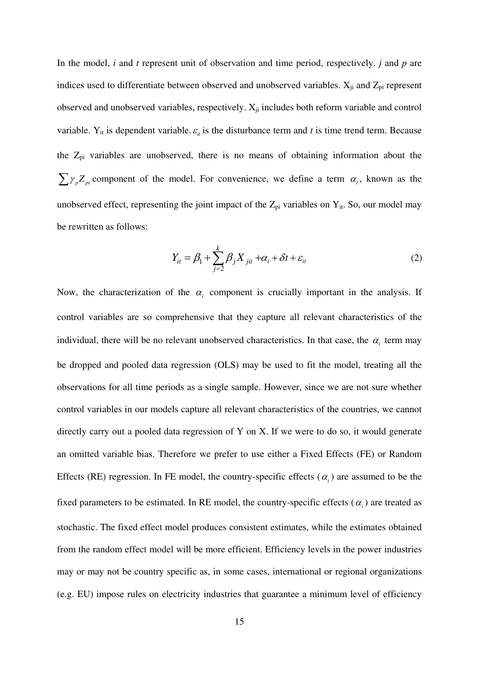In the model, *i* and *t* represent unit of observation and time period, respectively. *j* and *p* are indices used to differentiate between observed and unobserved variables.  $X_{ji}$  and  $Z_{pi}$  represent observed and unobserved variables, respectively.  $X_{ji}$  includes both reform variable and control variable.  $Y_{it}$  is dependent variable.  $\varepsilon_{it}$  is the disturbance term and t is time trend term. Because the  $Z_{pi}$  variables are unobserved, there is no means of obtaining information about the  $\sum \gamma_{p} Z_{pi}$  component of the model. For convenience, we define a term  $\alpha_{i}$ , known as the unobserved effect, representing the joint impact of the  $Z_{pi}$  variables on  $Y_{it}$ . So, our model may be rewritten as follows:

$$
Y_{it} = \beta_1 + \sum_{j=2}^{k} \beta_j X_{jit} + \alpha_i + \delta t + \varepsilon_{it}
$$
 (2)

Now, the characterization of the  $\alpha$  component is crucially important in the analysis. If control variables are so comprehensive that they capture all relevant characteristics of the individual, there will be no relevant unobserved characteristics. In that case, the  $\alpha_i$  term may be dropped and pooled data regression (OLS) may be used to fit the model, treating all the observations for all time periods as a single sample. However, since we are not sure whether control variables in our models capture all relevant characteristics of the countries, we cannot directly carry out a pooled data regression of Y on X. If we were to do so, it would generate an omitted variable bias. Therefore we prefer to use either a Fixed Effects (FE) or Random Effects (RE) regression. In FE model, the country-specific effects  $(\alpha_i)$  are assumed to be the fixed parameters to be estimated. In RE model, the country-specific effects  $(\alpha_i)$  are treated as stochastic. The fixed effect model produces consistent estimates, while the estimates obtained from the random effect model will be more efficient. Efficiency levels in the power industries may or may not be country specific as, in some cases, international or regional organizations (e.g. EU) impose rules on electricity industries that guarantee a minimum level of efficiency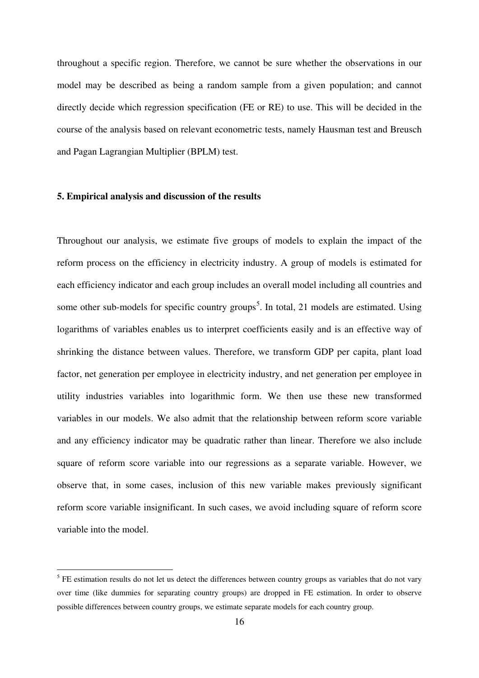throughout a specific region. Therefore, we cannot be sure whether the observations in our model may be described as being a random sample from a given population; and cannot directly decide which regression specification (FE or RE) to use. This will be decided in the course of the analysis based on relevant econometric tests, namely Hausman test and Breusch and Pagan Lagrangian Multiplier (BPLM) test.

#### **5. Empirical analysis and discussion of the results**

-

Throughout our analysis, we estimate five groups of models to explain the impact of the reform process on the efficiency in electricity industry. A group of models is estimated for each efficiency indicator and each group includes an overall model including all countries and some other sub-models for specific country groups<sup>[5](#page-14-0)</sup>. In total, 21 models are estimated. Using logarithms of variables enables us to interpret coefficients easily and is an effective way of shrinking the distance between values. Therefore, we transform GDP per capita, plant load factor, net generation per employee in electricity industry, and net generation per employee in utility industries variables into logarithmic form. We then use these new transformed variables in our models. We also admit that the relationship between reform score variable and any efficiency indicator may be quadratic rather than linear. Therefore we also include square of reform score variable into our regressions as a separate variable. However, we observe that, in some cases, inclusion of this new variable makes previously significant reform score variable insignificant. In such cases, we avoid including square of reform score variable into the model.

<span id="page-16-0"></span> $<sup>5</sup>$  FE estimation results do not let us detect the differences between country groups as variables that do not vary</sup> over time (like dummies for separating country groups) are dropped in FE estimation. In order to observe possible differences between country groups, we estimate separate models for each country group.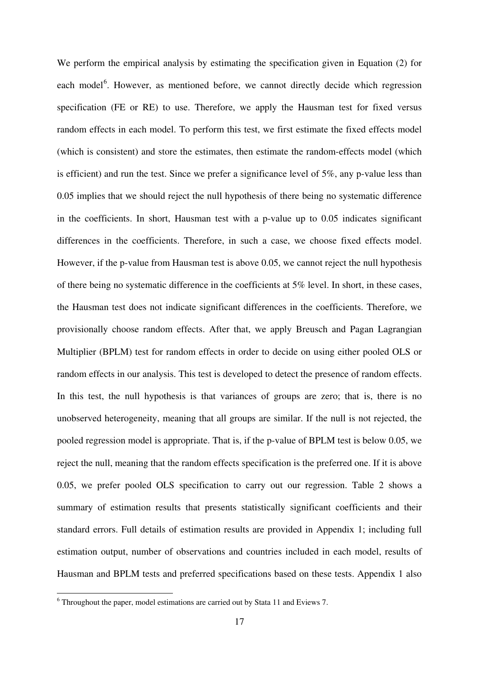We perform the empirical analysis by estimating the specification given in Equation (2) for each model<sup>[6](#page-16-0)</sup>. However, as mentioned before, we cannot directly decide which regression specification (FE or RE) to use. Therefore, we apply the Hausman test for fixed versus random effects in each model. To perform this test, we first estimate the fixed effects model (which is consistent) and store the estimates, then estimate the random-effects model (which is efficient) and run the test. Since we prefer a significance level of 5%, any p-value less than 0.05 implies that we should reject the null hypothesis of there being no systematic difference in the coefficients. In short, Hausman test with a p-value up to 0.05 indicates significant differences in the coefficients. Therefore, in such a case, we choose fixed effects model. However, if the p-value from Hausman test is above 0.05, we cannot reject the null hypothesis of there being no systematic difference in the coefficients at 5% level. In short, in these cases, the Hausman test does not indicate significant differences in the coefficients. Therefore, we provisionally choose random effects. After that, we apply Breusch and Pagan Lagrangian Multiplier (BPLM) test for random effects in order to decide on using either pooled OLS or random effects in our analysis. This test is developed to detect the presence of random effects. In this test, the null hypothesis is that variances of groups are zero; that is, there is no unobserved heterogeneity, meaning that all groups are similar. If the null is not rejected, the pooled regression model is appropriate. That is, if the p-value of BPLM test is below 0.05, we reject the null, meaning that the random effects specification is the preferred one. If it is above 0.05, we prefer pooled OLS specification to carry out our regression. Table 2 shows a summary of estimation results that presents statistically significant coefficients and their standard errors. Full details of estimation results are provided in Appendix 1; including full estimation output, number of observations and countries included in each model, results of Hausman and BPLM tests and preferred specifications based on these tests. Appendix 1 also

-

<span id="page-17-0"></span> $6$  Throughout the paper, model estimations are carried out by Stata 11 and Eviews 7.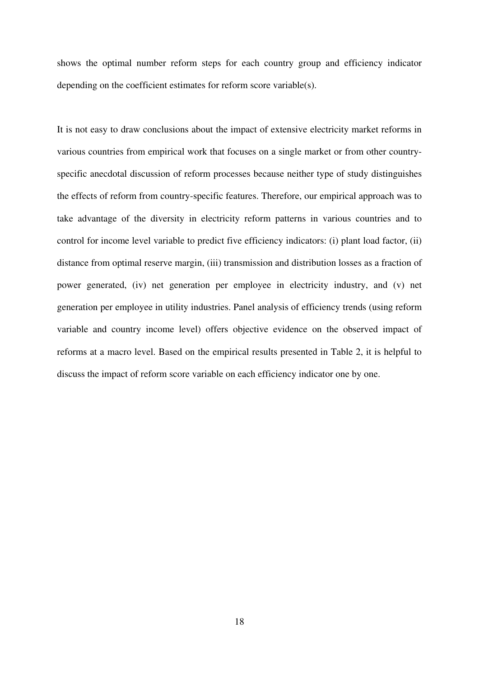shows the optimal number reform steps for each country group and efficiency indicator depending on the coefficient estimates for reform score variable(s).

It is not easy to draw conclusions about the impact of extensive electricity market reforms in various countries from empirical work that focuses on a single market or from other countryspecific anecdotal discussion of reform processes because neither type of study distinguishes the effects of reform from country-specific features. Therefore, our empirical approach was to take advantage of the diversity in electricity reform patterns in various countries and to control for income level variable to predict five efficiency indicators: (i) plant load factor, (ii) distance from optimal reserve margin, (iii) transmission and distribution losses as a fraction of power generated, (iv) net generation per employee in electricity industry, and (v) net generation per employee in utility industries. Panel analysis of efficiency trends (using reform variable and country income level) offers objective evidence on the observed impact of reforms at a macro level. Based on the empirical results presented in Table 2, it is helpful to discuss the impact of reform score variable on each efficiency indicator one by one.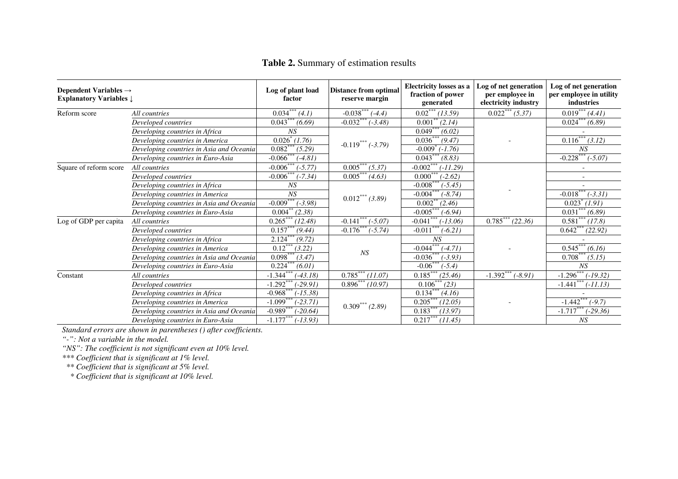| Dependent Variables $\rightarrow$<br><b>Explanatory Variables <math>\downarrow</math></b> |                                          | Log of plant load<br>factor         | <b>Distance from optimal</b><br>reserve margin | <b>Electricity losses as a</b><br>fraction of power<br>generated | Log of net generation<br>per employee in<br>electricity industry | Log of net generation<br>per employee in utility<br>industries |
|-------------------------------------------------------------------------------------------|------------------------------------------|-------------------------------------|------------------------------------------------|------------------------------------------------------------------|------------------------------------------------------------------|----------------------------------------------------------------|
| Reform score                                                                              | All countries                            | $0.034***$<br>(4.1)                 | $-0.038***$<br>$(-4.4)$                        | $0.02***$<br>(13.59)                                             | $0.022***(5.37)$                                                 | $0.019***$<br>(4.41)                                           |
|                                                                                           | Developed countries                      | (6.69)<br>0.043                     | $-0.032$ <sup>*</sup><br>$(-3.48)$             | 0.001<br>(2.14)                                                  |                                                                  | $0.024^{\degree}$<br>(6.89)                                    |
|                                                                                           | Developing countries in Africa           | NS                                  |                                                | 0.049<br>(6.02)                                                  |                                                                  |                                                                |
|                                                                                           | Developing countries in America          | $\overline{0.026}^*$ (1.76)         | $-0.119*** (-3.79)$                            | $0.036***$<br>(9.47)                                             |                                                                  | $0.116***$<br>(3.12)                                           |
|                                                                                           | Developing countries in Asia and Oceania | $0.082***$<br>(5.29)                |                                                | $-0.009$<br>$(-1.76)$                                            |                                                                  | NS                                                             |
|                                                                                           | Developing countries in Euro-Asia        | $-0.066$ **<br>$(-4.81)$            |                                                | (8.83)<br>0.043                                                  |                                                                  | $-0.228***$<br>$(-5.07)$                                       |
| Square of reform score                                                                    | All countries                            | $-0.006$ <sup>*</sup><br>$(-5, 77)$ | $0.005***$<br>(5.37)                           | $-0.002$<br>$(-11.29)$                                           |                                                                  |                                                                |
|                                                                                           | Developed countries                      | $(-7.34)$<br>$-0.006$               | $0.005***$<br>(4.63)                           | 0.000<br>$(-2.62)$                                               |                                                                  |                                                                |
|                                                                                           | Developing countries in Africa           | NS                                  |                                                | $-0.008$<br>$(-5.45)$                                            |                                                                  |                                                                |
| Log of GDP per capita                                                                     | Developing countries in America          | NS                                  | $0.012***(3.89)$                               | $-0.004***$<br>$(-8.74)$                                         |                                                                  | $-0.018***$<br>$(-3.31)$                                       |
|                                                                                           | Developing countries in Asia and Oceania | $-0.009$ <sup>*</sup><br>$(-3.98)$  |                                                | 0.002<br>(2.46)                                                  |                                                                  | 0.023<br>(1.91)                                                |
|                                                                                           | Developing countries in Euro-Asia        | 0.004<br>(2.38)                     |                                                | $-0.005***$<br>$(-6.94)$                                         |                                                                  | 0.031<br>(6.89)                                                |
|                                                                                           | All countries                            | $0.265***$<br>(12.48)               | $-0.141***$<br>$(-5.07)$                       | $-0.041$ <sup>***</sup><br>$(-13.06)$                            | $0.785***$<br>(22.36)                                            | 0.581<br>(17.8)                                                |
|                                                                                           | Developed countries                      | 0.157<br>(9.44)                     | $-0.176$ <sup>***</sup> ( $-5.74$ )            | $-0.011$<br>$(-6.21)$                                            |                                                                  | $0.642^*$<br>(22.92)                                           |
|                                                                                           | Developing countries in Africa           | 2.124<br>(9.72)                     |                                                | NS                                                               |                                                                  |                                                                |
|                                                                                           | Developing countries in America          | $0.12***$<br>(3.22)                 | NS                                             | $-0.044***$<br>$(-4.71)$                                         |                                                                  | $0.545***$<br>(6.16)                                           |
|                                                                                           | Developing countries in Asia and Oceania | 0.098<br>(3.47)                     |                                                | $-0.036$<br>$(-3.93)$                                            |                                                                  | (5.15)<br>0.708                                                |
|                                                                                           | Developing countries in Euro-Asia        | 0.224<br>(6.01)                     |                                                | $-0.06$ ***<br>$(-5.4)$                                          |                                                                  | NS                                                             |
| Constant                                                                                  | All countries                            | $-1.344$<br>$-43.18$                | $0.785***$<br>(11.07)                          | $0.185***$<br>(25.46)                                            | $-1.392***$<br>$(-8.91)$                                         | $-1.296$ ***<br>$-19.32$                                       |
|                                                                                           | Developed countries                      | $-1.292$ <sup>*</sup><br>$-29.91$   | 0.896<br>(10.97)                               | 0.106<br>(23)                                                    |                                                                  | $-1.441$<br>$-11.13$                                           |
|                                                                                           | Developing countries in Africa           | $-0.968$ <sup>*</sup><br>$-15.38$   |                                                | $0.134$ <sup>*</sup><br>(4.16)                                   |                                                                  |                                                                |
|                                                                                           | Developing countries in America          | $-1.099$ **<br>$(-23.71)$           | $0.309***(2.89)$                               | $0.205***$<br>(12.05)                                            |                                                                  | $-1.442***$<br>$(-9.7)$                                        |
|                                                                                           | Developing countries in Asia and Oceania | $-0.989$ <sup>*</sup><br>$-20.64)$  |                                                | 0.183<br>(13.97)                                                 |                                                                  | $-1.717$<br>$(-29.36)$                                         |
|                                                                                           | Developing countries in Euro-Asia        | $-1.177***$<br>$(-13.93)$           |                                                | $0.217***$<br>(11.45)                                            |                                                                  | NS                                                             |

*Standard errors are shown in parentheses () after coefficients.*

*"-": Not a variable in the model.*

*"NS": The coefficient is not significant even at 10% level.*

*\*\*\* Coefficient that is significant at 1% level.*

 *\*\* Coefficient that is significant at 5% level.*

 *\* Coefficient that is significant at 10% level.*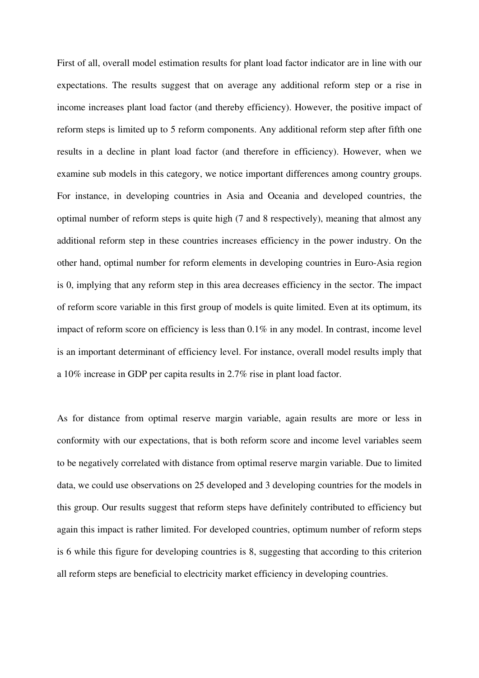First of all, overall model estimation results for plant load factor indicator are in line with our expectations. The results suggest that on average any additional reform step or a rise in income increases plant load factor (and thereby efficiency). However, the positive impact of reform steps is limited up to 5 reform components. Any additional reform step after fifth one results in a decline in plant load factor (and therefore in efficiency). However, when we examine sub models in this category, we notice important differences among country groups. For instance, in developing countries in Asia and Oceania and developed countries, the optimal number of reform steps is quite high (7 and 8 respectively), meaning that almost any additional reform step in these countries increases efficiency in the power industry. On the other hand, optimal number for reform elements in developing countries in Euro-Asia region is 0, implying that any reform step in this area decreases efficiency in the sector. The impact of reform score variable in this first group of models is quite limited. Even at its optimum, its impact of reform score on efficiency is less than 0.1% in any model. In contrast, income level is an important determinant of efficiency level. For instance, overall model results imply that a 10% increase in GDP per capita results in 2.7% rise in plant load factor.

As for distance from optimal reserve margin variable, again results are more or less in conformity with our expectations, that is both reform score and income level variables seem to be negatively correlated with distance from optimal reserve margin variable. Due to limited data, we could use observations on 25 developed and 3 developing countries for the models in this group. Our results suggest that reform steps have definitely contributed to efficiency but again this impact is rather limited. For developed countries, optimum number of reform steps is 6 while this figure for developing countries is 8, suggesting that according to this criterion all reform steps are beneficial to electricity market efficiency in developing countries.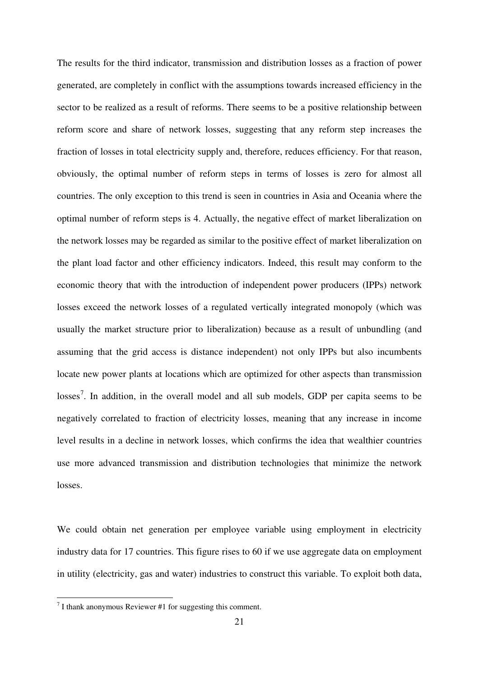The results for the third indicator, transmission and distribution losses as a fraction of power generated, are completely in conflict with the assumptions towards increased efficiency in the sector to be realized as a result of reforms. There seems to be a positive relationship between reform score and share of network losses, suggesting that any reform step increases the fraction of losses in total electricity supply and, therefore, reduces efficiency. For that reason, obviously, the optimal number of reform steps in terms of losses is zero for almost all countries. The only exception to this trend is seen in countries in Asia and Oceania where the optimal number of reform steps is 4. Actually, the negative effect of market liberalization on the network losses may be regarded as similar to the positive effect of market liberalization on the plant load factor and other efficiency indicators. Indeed, this result may conform to the economic theory that with the introduction of independent power producers (IPPs) network losses exceed the network losses of a regulated vertically integrated monopoly (which was usually the market structure prior to liberalization) because as a result of unbundling (and assuming that the grid access is distance independent) not only IPPs but also incumbents locate new power plants at locations which are optimized for other aspects than transmission losses<sup>[7](#page-17-0)</sup>. In addition, in the overall model and all sub models, GDP per capita seems to be negatively correlated to fraction of electricity losses, meaning that any increase in income level results in a decline in network losses, which confirms the idea that wealthier countries use more advanced transmission and distribution technologies that minimize the network losses.

We could obtain net generation per employee variable using employment in electricity industry data for 17 countries. This figure rises to 60 if we use aggregate data on employment in utility (electricity, gas and water) industries to construct this variable. To exploit both data,

<span id="page-21-0"></span> 7 I thank anonymous Reviewer #1 for suggesting this comment.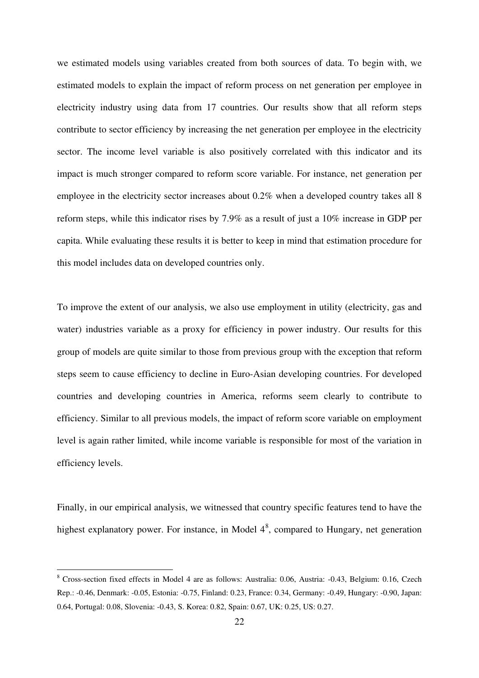we estimated models using variables created from both sources of data. To begin with, we estimated models to explain the impact of reform process on net generation per employee in electricity industry using data from 17 countries. Our results show that all reform steps contribute to sector efficiency by increasing the net generation per employee in the electricity sector. The income level variable is also positively correlated with this indicator and its impact is much stronger compared to reform score variable. For instance, net generation per employee in the electricity sector increases about 0.2% when a developed country takes all 8 reform steps, while this indicator rises by 7.9% as a result of just a 10% increase in GDP per capita. While evaluating these results it is better to keep in mind that estimation procedure for this model includes data on developed countries only.

To improve the extent of our analysis, we also use employment in utility (electricity, gas and water) industries variable as a proxy for efficiency in power industry. Our results for this group of models are quite similar to those from previous group with the exception that reform steps seem to cause efficiency to decline in Euro-Asian developing countries. For developed countries and developing countries in America, reforms seem clearly to contribute to efficiency. Similar to all previous models, the impact of reform score variable on employment level is again rather limited, while income variable is responsible for most of the variation in efficiency levels.

Finally, in our empirical analysis, we witnessed that country specific features tend to have the highest explanatory power. For instance, in Model  $4<sup>8</sup>$  $4<sup>8</sup>$  $4<sup>8</sup>$ , compared to Hungary, net generation

-

<sup>8</sup> Cross-section fixed effects in Model 4 are as follows: Australia: 0.06, Austria: -0.43, Belgium: 0.16, Czech Rep.: -0.46, Denmark: -0.05, Estonia: -0.75, Finland: 0.23, France: 0.34, Germany: -0.49, Hungary: -0.90, Japan: 0.64, Portugal: 0.08, Slovenia: -0.43, S. Korea: 0.82, Spain: 0.67, UK: 0.25, US: 0.27.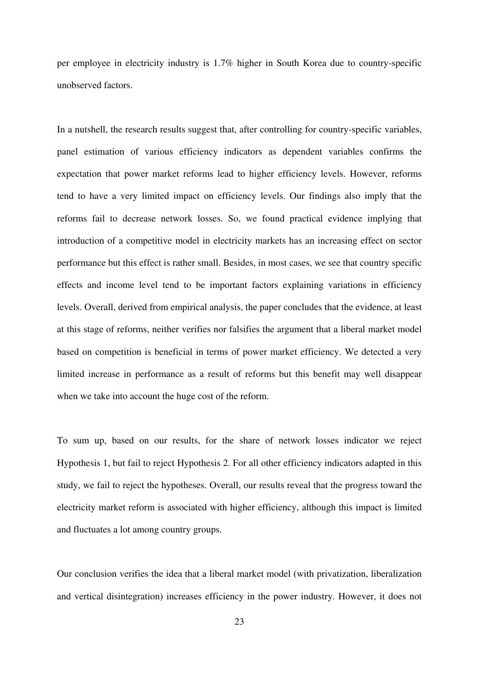per employee in electricity industry is 1.7% higher in South Korea due to country-specific unobserved factors.

In a nutshell, the research results suggest that, after controlling for country-specific variables, panel estimation of various efficiency indicators as dependent variables confirms the expectation that power market reforms lead to higher efficiency levels. However, reforms tend to have a very limited impact on efficiency levels. Our findings also imply that the reforms fail to decrease network losses. So, we found practical evidence implying that introduction of a competitive model in electricity markets has an increasing effect on sector performance but this effect is rather small. Besides, in most cases, we see that country specific effects and income level tend to be important factors explaining variations in efficiency levels. Overall, derived from empirical analysis, the paper concludes that the evidence, at least at this stage of reforms, neither verifies nor falsifies the argument that a liberal market model based on competition is beneficial in terms of power market efficiency. We detected a very limited increase in performance as a result of reforms but this benefit may well disappear when we take into account the huge cost of the reform.

To sum up, based on our results, for the share of network losses indicator we reject Hypothesis 1, but fail to reject Hypothesis 2. For all other efficiency indicators adapted in this study, we fail to reject the hypotheses. Overall, our results reveal that the progress toward the electricity market reform is associated with higher efficiency, although this impact is limited and fluctuates a lot among country groups.

Our conclusion verifies the idea that a liberal market model (with privatization, liberalization and vertical disintegration) increases efficiency in the power industry. However, it does not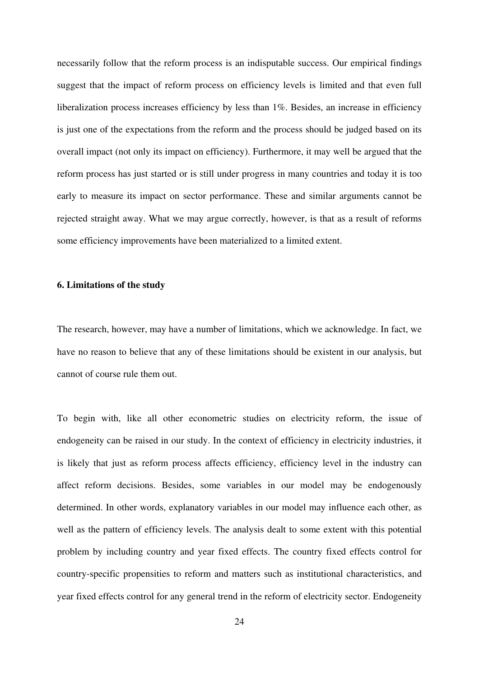necessarily follow that the reform process is an indisputable success. Our empirical findings suggest that the impact of reform process on efficiency levels is limited and that even full liberalization process increases efficiency by less than 1%. Besides, an increase in efficiency is just one of the expectations from the reform and the process should be judged based on its overall impact (not only its impact on efficiency). Furthermore, it may well be argued that the reform process has just started or is still under progress in many countries and today it is too early to measure its impact on sector performance. These and similar arguments cannot be rejected straight away. What we may argue correctly, however, is that as a result of reforms some efficiency improvements have been materialized to a limited extent.

#### **6. Limitations of the study**

The research, however, may have a number of limitations, which we acknowledge. In fact, we have no reason to believe that any of these limitations should be existent in our analysis, but cannot of course rule them out.

To begin with, like all other econometric studies on electricity reform, the issue of endogeneity can be raised in our study. In the context of efficiency in electricity industries, it is likely that just as reform process affects efficiency, efficiency level in the industry can affect reform decisions. Besides, some variables in our model may be endogenously determined. In other words, explanatory variables in our model may influence each other, as well as the pattern of efficiency levels. The analysis dealt to some extent with this potential problem by including country and year fixed effects. The country fixed effects control for country-specific propensities to reform and matters such as institutional characteristics, and year fixed effects control for any general trend in the reform of electricity sector. Endogeneity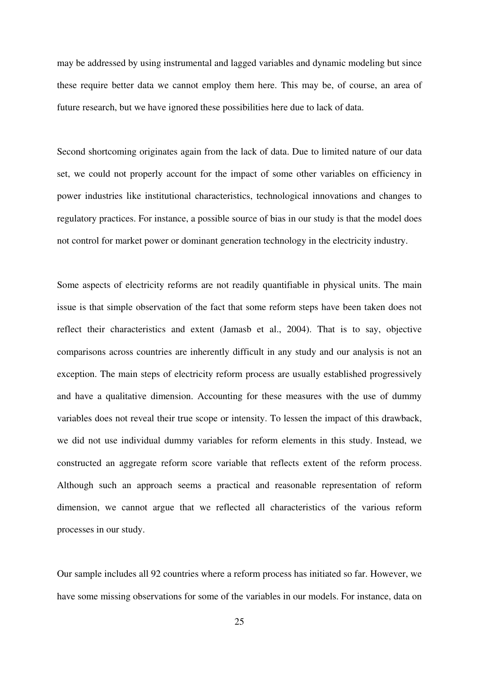may be addressed by using instrumental and lagged variables and dynamic modeling but since these require better data we cannot employ them here. This may be, of course, an area of future research, but we have ignored these possibilities here due to lack of data.

Second shortcoming originates again from the lack of data. Due to limited nature of our data set, we could not properly account for the impact of some other variables on efficiency in power industries like institutional characteristics, technological innovations and changes to regulatory practices. For instance, a possible source of bias in our study is that the model does not control for market power or dominant generation technology in the electricity industry.

Some aspects of electricity reforms are not readily quantifiable in physical units. The main issue is that simple observation of the fact that some reform steps have been taken does not reflect their characteristics and extent (Jamasb et al., 2004). That is to say, objective comparisons across countries are inherently difficult in any study and our analysis is not an exception. The main steps of electricity reform process are usually established progressively and have a qualitative dimension. Accounting for these measures with the use of dummy variables does not reveal their true scope or intensity. To lessen the impact of this drawback, we did not use individual dummy variables for reform elements in this study. Instead, we constructed an aggregate reform score variable that reflects extent of the reform process. Although such an approach seems a practical and reasonable representation of reform dimension, we cannot argue that we reflected all characteristics of the various reform processes in our study.

Our sample includes all 92 countries where a reform process has initiated so far. However, we have some missing observations for some of the variables in our models. For instance, data on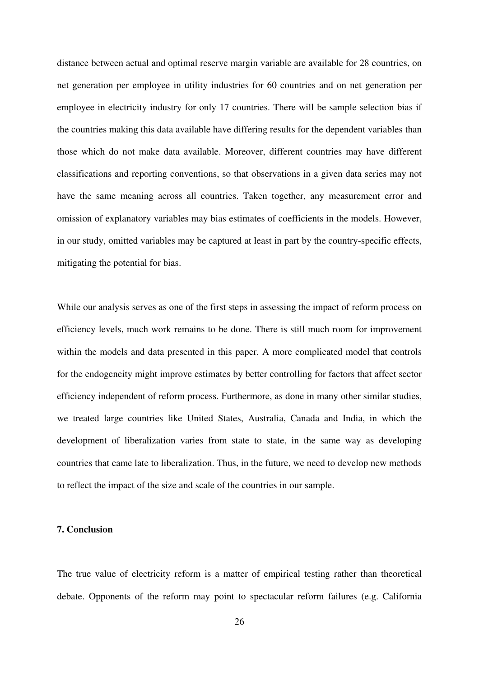distance between actual and optimal reserve margin variable are available for 28 countries, on net generation per employee in utility industries for 60 countries and on net generation per employee in electricity industry for only 17 countries. There will be sample selection bias if the countries making this data available have differing results for the dependent variables than those which do not make data available. Moreover, different countries may have different classifications and reporting conventions, so that observations in a given data series may not have the same meaning across all countries. Taken together, any measurement error and omission of explanatory variables may bias estimates of coefficients in the models. However, in our study, omitted variables may be captured at least in part by the country-specific effects, mitigating the potential for bias.

While our analysis serves as one of the first steps in assessing the impact of reform process on efficiency levels, much work remains to be done. There is still much room for improvement within the models and data presented in this paper. A more complicated model that controls for the endogeneity might improve estimates by better controlling for factors that affect sector efficiency independent of reform process. Furthermore, as done in many other similar studies, we treated large countries like United States, Australia, Canada and India, in which the development of liberalization varies from state to state, in the same way as developing countries that came late to liberalization. Thus, in the future, we need to develop new methods to reflect the impact of the size and scale of the countries in our sample.

#### **7. Conclusion**

The true value of electricity reform is a matter of empirical testing rather than theoretical debate. Opponents of the reform may point to spectacular reform failures (e.g. California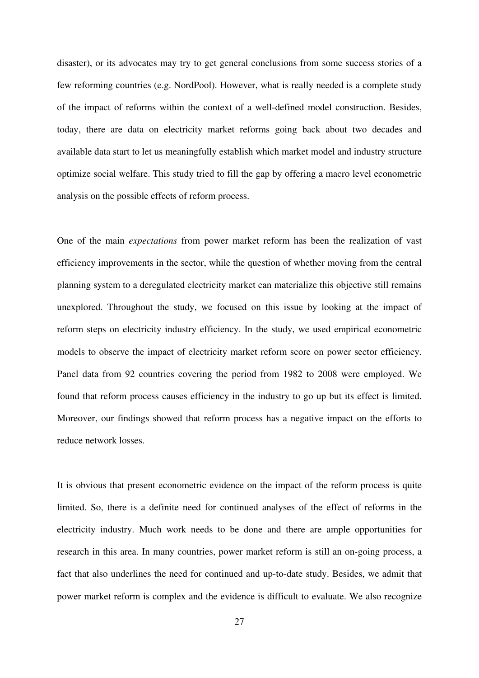disaster), or its advocates may try to get general conclusions from some success stories of a few reforming countries (e.g. NordPool). However, what is really needed is a complete study of the impact of reforms within the context of a well-defined model construction. Besides, today, there are data on electricity market reforms going back about two decades and available data start to let us meaningfully establish which market model and industry structure optimize social welfare. This study tried to fill the gap by offering a macro level econometric analysis on the possible effects of reform process.

One of the main *expectations* from power market reform has been the realization of vast efficiency improvements in the sector, while the question of whether moving from the central planning system to a deregulated electricity market can materialize this objective still remains unexplored. Throughout the study, we focused on this issue by looking at the impact of reform steps on electricity industry efficiency. In the study, we used empirical econometric models to observe the impact of electricity market reform score on power sector efficiency. Panel data from 92 countries covering the period from 1982 to 2008 were employed. We found that reform process causes efficiency in the industry to go up but its effect is limited. Moreover, our findings showed that reform process has a negative impact on the efforts to reduce network losses.

It is obvious that present econometric evidence on the impact of the reform process is quite limited. So, there is a definite need for continued analyses of the effect of reforms in the electricity industry. Much work needs to be done and there are ample opportunities for research in this area. In many countries, power market reform is still an on-going process, a fact that also underlines the need for continued and up-to-date study. Besides, we admit that power market reform is complex and the evidence is difficult to evaluate. We also recognize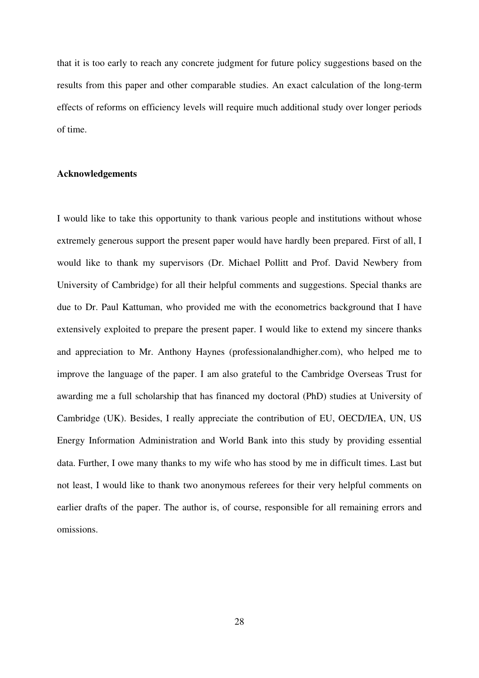that it is too early to reach any concrete judgment for future policy suggestions based on the results from this paper and other comparable studies. An exact calculation of the long-term effects of reforms on efficiency levels will require much additional study over longer periods of time.

#### **Acknowledgements**

I would like to take this opportunity to thank various people and institutions without whose extremely generous support the present paper would have hardly been prepared. First of all, I would like to thank my supervisors (Dr. Michael Pollitt and Prof. David Newbery from University of Cambridge) for all their helpful comments and suggestions. Special thanks are due to Dr. Paul Kattuman, who provided me with the econometrics background that I have extensively exploited to prepare the present paper. I would like to extend my sincere thanks and appreciation to Mr. Anthony Haynes (professionalandhigher.com), who helped me to improve the language of the paper. I am also grateful to the Cambridge Overseas Trust for awarding me a full scholarship that has financed my doctoral (PhD) studies at University of Cambridge (UK). Besides, I really appreciate the contribution of EU, OECD/IEA, UN, US Energy Information Administration and World Bank into this study by providing essential data. Further, I owe many thanks to my wife who has stood by me in difficult times. Last but not least, I would like to thank two anonymous referees for their very helpful comments on earlier drafts of the paper. The author is, of course, responsible for all remaining errors and omissions.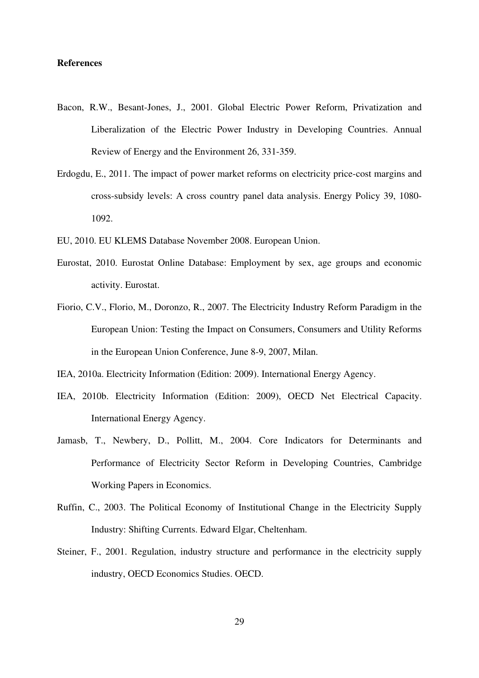#### **References**

- Bacon, R.W., Besant-Jones, J., 2001. Global Electric Power Reform, Privatization and Liberalization of the Electric Power Industry in Developing Countries. Annual Review of Energy and the Environment 26, 331-359.
- Erdogdu, E., 2011. The impact of power market reforms on electricity price-cost margins and cross-subsidy levels: A cross country panel data analysis. Energy Policy 39, 1080- 1092.
- EU, 2010. EU KLEMS Database November 2008. European Union.
- Eurostat, 2010. Eurostat Online Database: Employment by sex, age groups and economic activity. Eurostat.
- Fiorio, C.V., Florio, M., Doronzo, R., 2007. The Electricity Industry Reform Paradigm in the European Union: Testing the Impact on Consumers, Consumers and Utility Reforms in the European Union Conference, June 8-9, 2007, Milan.
- IEA, 2010a. Electricity Information (Edition: 2009). International Energy Agency.
- IEA, 2010b. Electricity Information (Edition: 2009), OECD Net Electrical Capacity. International Energy Agency.
- Jamasb, T., Newbery, D., Pollitt, M., 2004. Core Indicators for Determinants and Performance of Electricity Sector Reform in Developing Countries, Cambridge Working Papers in Economics.
- Ruffin, C., 2003. The Political Economy of Institutional Change in the Electricity Supply Industry: Shifting Currents. Edward Elgar, Cheltenham.
- Steiner, F., 2001. Regulation, industry structure and performance in the electricity supply industry, OECD Economics Studies. OECD.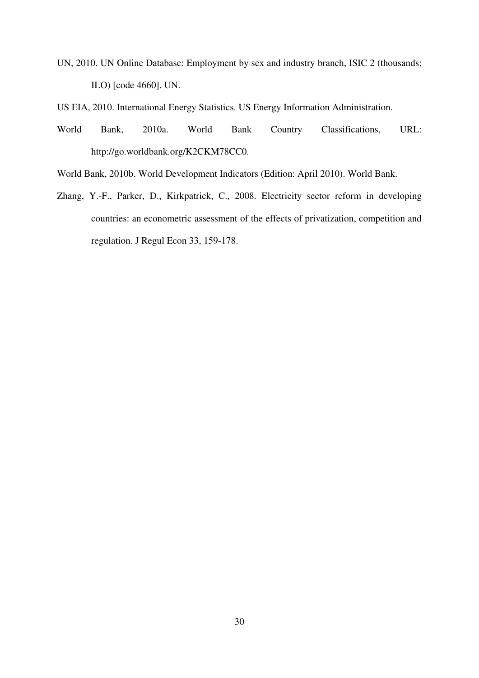UN, 2010. UN Online Database: Employment by sex and industry branch, ISIC 2 (thousands; ILO) [code 4660]. UN.

US EIA, 2010. International Energy Statistics. US Energy Information Administration.

- World Bank, 2010a. World Bank Country Classifications, URL: http://go.worldbank.org/K2CKM78CC0.
- World Bank, 2010b. World Development Indicators (Edition: April 2010). World Bank.
- Zhang, Y.-F., Parker, D., Kirkpatrick, C., 2008. Electricity sector reform in developing countries: an econometric assessment of the effects of privatization, competition and regulation. J Regul Econ 33, 159-178.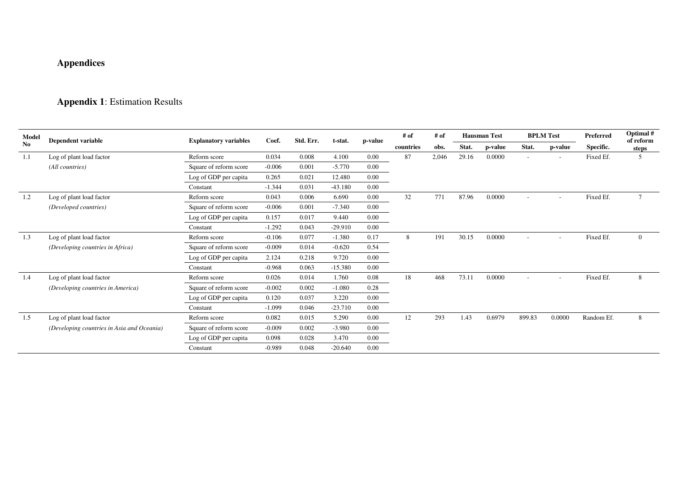## **Appendices**

### **Appendix 1**: Estimation Results

| Model          | <b>Dependent variable</b>                  | <b>Explanatory variables</b> | Coef.    | Std. Err. | t-stat.   | p-value  | # of      | # of  | <b>Hausman Test</b> |         | <b>BPLM</b> Test |                          | Preferred  | Optimal #<br>of reform |
|----------------|--------------------------------------------|------------------------------|----------|-----------|-----------|----------|-----------|-------|---------------------|---------|------------------|--------------------------|------------|------------------------|
| N <sub>0</sub> |                                            |                              |          |           |           |          | countries | obs.  | Stat.               | p-value | Stat.            | p-value                  | Specific.  | steps                  |
| 1.1            | Log of plant load factor                   | Reform score                 | 0.034    | 0.008     | 4.100     | 0.00     | 87        | 2,046 | 29.16               | 0.0000  | ٠                | $\overline{\phantom{a}}$ | Fixed Ef.  | 5                      |
|                | (All countries)                            | Square of reform score       | $-0.006$ | 0.001     | $-5.770$  | 0.00     |           |       |                     |         |                  |                          |            |                        |
|                |                                            | Log of GDP per capita        | 0.265    | 0.021     | 12.480    | 0.00     |           |       |                     |         |                  |                          |            |                        |
|                |                                            | Constant                     | $-1.344$ | 0.031     | $-43.180$ | 0.00     |           |       |                     |         |                  |                          |            |                        |
| 1.2            | Log of plant load factor                   | Reform score                 | 0.043    | 0.006     | 6.690     | 0.00     | 32        | 771   | 87.96               | 0.0000  |                  |                          | Fixed Ef.  | $\tau$                 |
|                | (Developed countries)                      | Square of reform score       | $-0.006$ | 0.001     | $-7.340$  | 0.00     |           |       |                     |         |                  |                          |            |                        |
|                |                                            | Log of GDP per capita        | 0.157    | 0.017     | 9.440     | 0.00     |           |       |                     |         |                  |                          |            |                        |
|                |                                            | Constant                     | $-1.292$ | 0.043     | $-29.910$ | 0.00     |           |       |                     |         |                  |                          |            |                        |
| 1.3            | Log of plant load factor                   | Reform score                 | $-0.106$ | 0.077     | $-1.380$  | 0.17     | 8         | 191   | 30.15               | 0.0000  | $\overline{a}$   | $\overline{a}$           | Fixed Ef.  | $\overline{0}$         |
|                | (Developing countries in Africa)           | Square of reform score       | $-0.009$ | 0.014     | $-0.620$  | 0.54     |           |       |                     |         |                  |                          |            |                        |
|                |                                            | Log of GDP per capita        | 2.124    | 0.218     | 9.720     | 0.00     |           |       |                     |         |                  |                          |            |                        |
|                |                                            | Constant                     | $-0.968$ | 0.063     | $-15.380$ | 0.00     |           |       |                     |         |                  |                          |            |                        |
| 1.4            | Log of plant load factor                   | Reform score                 | 0.026    | 0.014     | 1.760     | 0.08     | 18        | 468   | 73.11               | 0.0000  | $\overline{a}$   |                          | Fixed Ef.  | 8                      |
|                | (Developing countries in America)          | Square of reform score       | $-0.002$ | 0.002     | $-1.080$  | 0.28     |           |       |                     |         |                  |                          |            |                        |
|                |                                            | Log of GDP per capita        | 0.120    | 0.037     | 3.220     | 0.00     |           |       |                     |         |                  |                          |            |                        |
|                |                                            | Constant                     | $-1.099$ | 0.046     | $-23.710$ | 0.00     |           |       |                     |         |                  |                          |            |                        |
| 1.5            | Log of plant load factor                   | Reform score                 | 0.082    | 0.015     | 5.290     | 0.00     | 12        | 293   | 1.43                | 0.6979  | 899.83           | 0.0000                   | Random Ef. | 8                      |
|                | (Developing countries in Asia and Oceania) | Square of reform score       | $-0.009$ | 0.002     | $-3.980$  | 0.00     |           |       |                     |         |                  |                          |            |                        |
|                |                                            | Log of GDP per capita        | 0.098    | 0.028     | 3.470     | $0.00\,$ |           |       |                     |         |                  |                          |            |                        |
|                |                                            | Constant                     | $-0.989$ | 0.048     | $-20.640$ | 0.00     |           |       |                     |         |                  |                          |            |                        |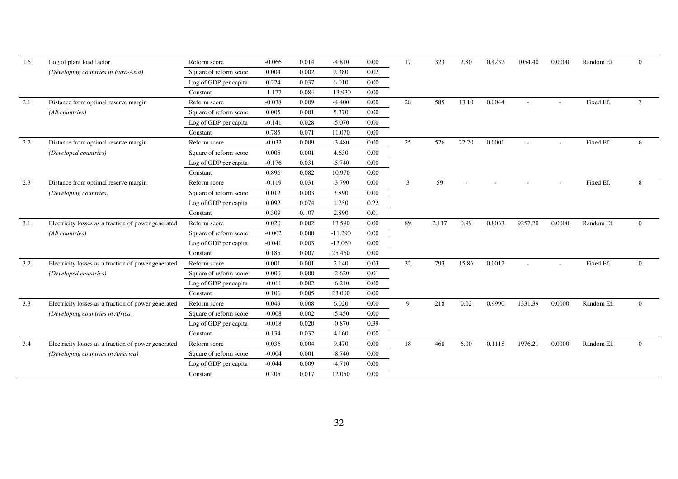| 1.6 | Log of plant load factor                            | Reform score           | $-0.066$ | 0.014 | $-4.810$  | 0.00 | 17 | 323   | 2.80  | 0.4232 | 1054.40 | 0.0000 | Random Ef. | $\Omega$        |
|-----|-----------------------------------------------------|------------------------|----------|-------|-----------|------|----|-------|-------|--------|---------|--------|------------|-----------------|
|     | (Developing countries in Euro-Asia)                 | Square of reform score | 0.004    | 0.002 | 2.380     | 0.02 |    |       |       |        |         |        |            |                 |
|     |                                                     | Log of GDP per capita  | 0.224    | 0.037 | 6.010     | 0.00 |    |       |       |        |         |        |            |                 |
|     |                                                     | Constant               | $-1.177$ | 0.084 | $-13.930$ | 0.00 |    |       |       |        |         |        |            |                 |
| 2.1 | Distance from optimal reserve margin                | Reform score           | $-0.038$ | 0.009 | $-4.400$  | 0.00 | 28 | 585   | 13.10 | 0.0044 |         |        | Fixed Ef.  | $7\phantom{.0}$ |
|     | (All countries)                                     | Square of reform score | 0.005    | 0.001 | 5.370     | 0.00 |    |       |       |        |         |        |            |                 |
|     |                                                     | Log of GDP per capita  | $-0.141$ | 0.028 | $-5.070$  | 0.00 |    |       |       |        |         |        |            |                 |
|     |                                                     | Constant               | 0.785    | 0.071 | 11.070    | 0.00 |    |       |       |        |         |        |            |                 |
| 2.2 | Distance from optimal reserve margin                | Reform score           | $-0.032$ | 0.009 | $-3.480$  | 0.00 | 25 | 526   | 22.20 | 0.0001 |         |        | Fixed Ef.  | 6               |
|     | (Developed countries)                               | Square of reform score | 0.005    | 0.001 | 4.630     | 0.00 |    |       |       |        |         |        |            |                 |
|     |                                                     | Log of GDP per capita  | $-0.176$ | 0.031 | $-5.740$  | 0.00 |    |       |       |        |         |        |            |                 |
|     |                                                     | Constant               | 0.896    | 0.082 | 10.970    | 0.00 |    |       |       |        |         |        |            |                 |
| 2.3 | Distance from optimal reserve margin                | Reform score           | $-0.119$ | 0.031 | $-3.790$  | 0.00 | 3  | 59    |       |        |         |        | Fixed Ef.  | 8               |
|     | (Developing countries)                              | Square of reform score | 0.012    | 0.003 | 3.890     | 0.00 |    |       |       |        |         |        |            |                 |
|     |                                                     | Log of GDP per capita  | 0.092    | 0.074 | 1.250     | 0.22 |    |       |       |        |         |        |            |                 |
|     |                                                     | Constant               | 0.309    | 0.107 | 2.890     | 0.01 |    |       |       |        |         |        |            |                 |
| 3.1 | Electricity losses as a fraction of power generated | Reform score           | 0.020    | 0.002 | 13.590    | 0.00 | 89 | 2,117 | 0.99  | 0.8033 | 9257.20 | 0.0000 | Random Ef. | $\Omega$        |
|     | (All countries)                                     | Square of reform score | $-0.002$ | 0.000 | $-11.290$ | 0.00 |    |       |       |        |         |        |            |                 |
|     |                                                     | Log of GDP per capita  | $-0.041$ | 0.003 | $-13.060$ | 0.00 |    |       |       |        |         |        |            |                 |
|     |                                                     | Constant               | 0.185    | 0.007 | 25.460    | 0.00 |    |       |       |        |         |        |            |                 |
| 3.2 | Electricity losses as a fraction of power generated | Reform score           | 0.001    | 0.001 | 2.140     | 0.03 | 32 | 793   | 15.86 | 0.0012 |         |        | Fixed Ef.  | $\overline{0}$  |
|     | (Developed countries)                               | Square of reform score | 0.000    | 0.000 | $-2.620$  | 0.01 |    |       |       |        |         |        |            |                 |
|     |                                                     | Log of GDP per capita  | $-0.011$ | 0.002 | $-6.210$  | 0.00 |    |       |       |        |         |        |            |                 |
|     |                                                     | Constant               | 0.106    | 0.005 | 23.000    | 0.00 |    |       |       |        |         |        |            |                 |
| 3.3 | Electricity losses as a fraction of power generated | Reform score           | 0.049    | 0.008 | 6.020     | 0.00 | 9  | 218   | 0.02  | 0.9990 | 1331.39 | 0.0000 | Random Ef. | $\Omega$        |
|     | (Developing countries in Africa)                    | Square of reform score | $-0.008$ | 0.002 | $-5.450$  | 0.00 |    |       |       |        |         |        |            |                 |
|     |                                                     | Log of GDP per capita  | $-0.018$ | 0.020 | $-0.870$  | 0.39 |    |       |       |        |         |        |            |                 |
|     |                                                     | Constant               | 0.134    | 0.032 | 4.160     | 0.00 |    |       |       |        |         |        |            |                 |
| 3.4 | Electricity losses as a fraction of power generated | Reform score           | 0.036    | 0.004 | 9.470     | 0.00 | 18 | 468   | 6.00  | 0.1118 | 1976.21 | 0.0000 | Random Ef. | $\theta$        |
|     | (Developing countries in America)                   | Square of reform score | $-0.004$ | 0.001 | $-8.740$  | 0.00 |    |       |       |        |         |        |            |                 |
|     |                                                     | Log of GDP per capita  | $-0.044$ | 0.009 | $-4.710$  | 0.00 |    |       |       |        |         |        |            |                 |
|     |                                                     | Constant               | 0.205    | 0.017 | 12.050    | 0.00 |    |       |       |        |         |        |            |                 |